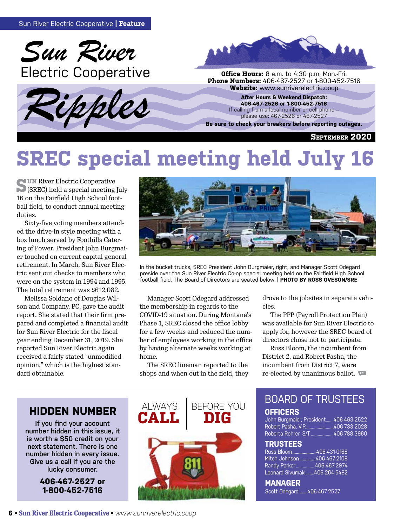





**Phone Numbers:** 406-467-2527 or 1-800-452-7516<br>**Website:** www.sunriverelectric.coop

**After Hours & Weekend Dispatch: 406-467-2526 or 1-800-452-7516** If calling from a local number or cell phone – please use: 467-2526 or 467-2527

**Be sure to check your breakers before reporting outages.**

**September 2020**

# **SREC special meeting held July 16**

**SUN River Electric Cooperative** (SREC) held a special meeting July 16 on the Fairfield High School football field, to conduct annual meeting duties.

Sixty-five voting members attended the drive-in style meeting with a box lunch served by Foothills Catering of Power. President John Burgmaier touched on current capital general retirement. In March, Sun River Electric sent out checks to members who were on the system in 1994 and 1995. The total retirement was \$612,082.

Melissa Soldano of Douglas Wilson and Company, PC, gave the audit report. She stated that their firm prepared and completed a financial audit for Sun River Electric for the fiscal year ending December 31, 2019. She reported Sun River Electric again received a fairly stated "unmodified opinion," which is the highest standard obtainable.



In the bucket trucks, SREC President John Burgmaier, right, and Manager Scott Odegard preside over the Sun River Electric Co-op special meeting held on the Fairfield High School football field. The Board of Directors are seated below. **| PHOTO BY ROSS OVESON/SRE**

Manager Scott Odegard addressed the membership in regards to the COVID-19 situation. During Montana's Phase 1, SREC closed the office lobby for a few weeks and reduced the number of employees working in the office by having alternate weeks working at home.

The SREC lineman reported to the shops and when out in the field, they drove to the jobsites in separate vehicles.

The PPP (Payroll Protection Plan) was available for Sun River Electric to apply for, however the SREC board of directors chose not to participate.

Russ Bloom, the incumbent from District 2, and Robert Pasha, the incumbent from District 7, were re-elected by unanimous ballot.

### **HIDDEN NUMBER**

**If you find your account number hidden in this issue, it is worth a \$50 credit on your next statement. There is one number hidden in every issue. Give us a call if you are the lucky consumer.**

> **406-467-2527 or 1-800-452-7516**



### BOARD OF TRUSTEES **OFFICERS**

John Burgmaier, President...... 406-463-2522 Robert Pasha, V.P.........................406-733-2028 Roberta Rohrer, S/T ................... 406-788-3960

#### **TRUSTEES**

Russ Bloom.................... 406-431-0168 Mitch Johnson..............406-467-2109 Randy Parker................ 406-467-2974 Leonard Sivumaki .......406-264-5482

**MANAGER**  Scott Odegard .......406-467-2527